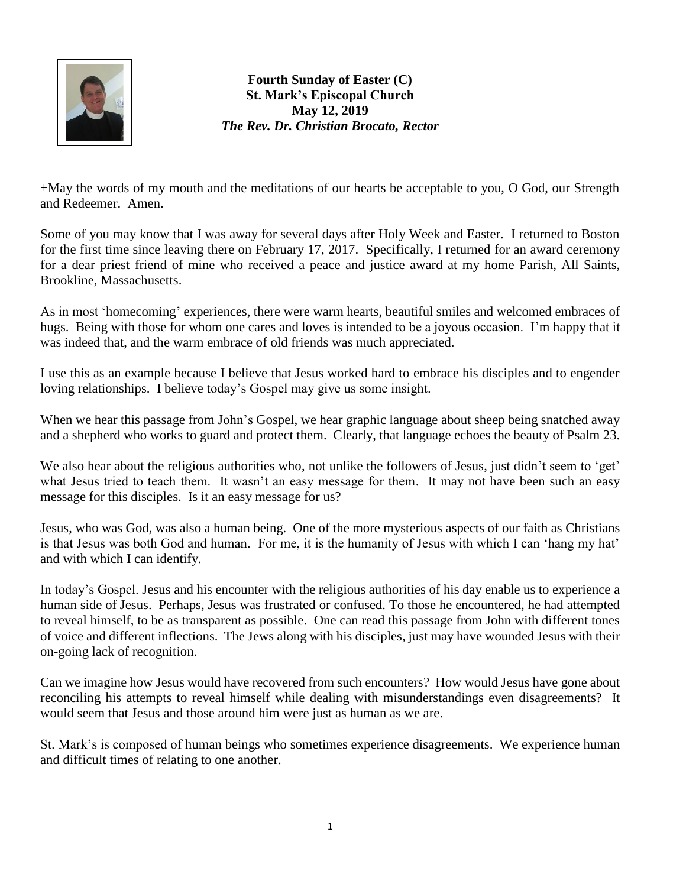

**Fourth Sunday of Easter (C) St. Mark's Episcopal Church May 12, 2019** *The Rev. Dr. Christian Brocato, Rector*

+May the words of my mouth and the meditations of our hearts be acceptable to you, O God, our Strength and Redeemer. Amen.

Some of you may know that I was away for several days after Holy Week and Easter. I returned to Boston for the first time since leaving there on February 17, 2017. Specifically, I returned for an award ceremony for a dear priest friend of mine who received a peace and justice award at my home Parish, All Saints, Brookline, Massachusetts.

As in most 'homecoming' experiences, there were warm hearts, beautiful smiles and welcomed embraces of hugs. Being with those for whom one cares and loves is intended to be a joyous occasion. I'm happy that it was indeed that, and the warm embrace of old friends was much appreciated.

I use this as an example because I believe that Jesus worked hard to embrace his disciples and to engender loving relationships. I believe today's Gospel may give us some insight.

When we hear this passage from John's Gospel, we hear graphic language about sheep being snatched away and a shepherd who works to guard and protect them. Clearly, that language echoes the beauty of Psalm 23.

We also hear about the religious authorities who, not unlike the followers of Jesus, just didn't seem to 'get' what Jesus tried to teach them. It wasn't an easy message for them. It may not have been such an easy message for this disciples. Is it an easy message for us?

Jesus, who was God, was also a human being. One of the more mysterious aspects of our faith as Christians is that Jesus was both God and human. For me, it is the humanity of Jesus with which I can 'hang my hat' and with which I can identify.

In today's Gospel. Jesus and his encounter with the religious authorities of his day enable us to experience a human side of Jesus. Perhaps, Jesus was frustrated or confused. To those he encountered, he had attempted to reveal himself, to be as transparent as possible. One can read this passage from John with different tones of voice and different inflections. The Jews along with his disciples, just may have wounded Jesus with their on-going lack of recognition.

Can we imagine how Jesus would have recovered from such encounters? How would Jesus have gone about reconciling his attempts to reveal himself while dealing with misunderstandings even disagreements? It would seem that Jesus and those around him were just as human as we are.

St. Mark's is composed of human beings who sometimes experience disagreements. We experience human and difficult times of relating to one another.